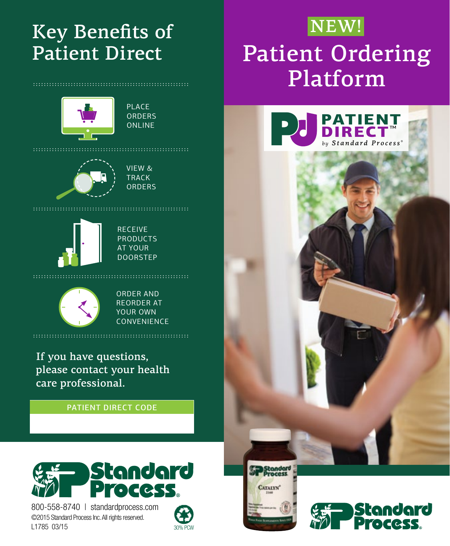### Key Benefits of Patient Direct



#### VIEW &



**TRACK ORDERS** 



RECEIVE PRODUCTS AT YOUR DOORSTEP



ORDER AND REORDER AT YOUR OWN CONVENIENCE

If you have questions, please contact your health care professional.

PATIENT DIRECT CODE



800-558-8740 | standardprocess.com ©2015 Standard Process Inc. All rights reserved. L1785 03/15



# NEW! Patient Ordering Platform